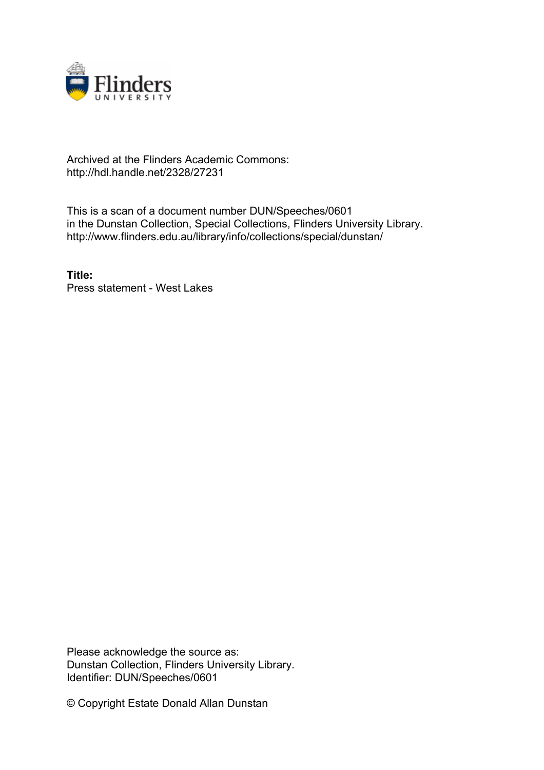

## Archived at the Flinders Academic Commons: http://hdl.handle.net/2328/27231

This is a scan of a document number DUN/Speeches/0601 in the Dunstan Collection, Special Collections, Flinders University Library. http://www.flinders.edu.au/library/info/collections/special/dunstan/

**Title:** Press statement - West Lakes

Please acknowledge the source as: Dunstan Collection, Flinders University Library. Identifier: DUN/Speeches/0601

© Copyright Estate Donald Allan Dunstan